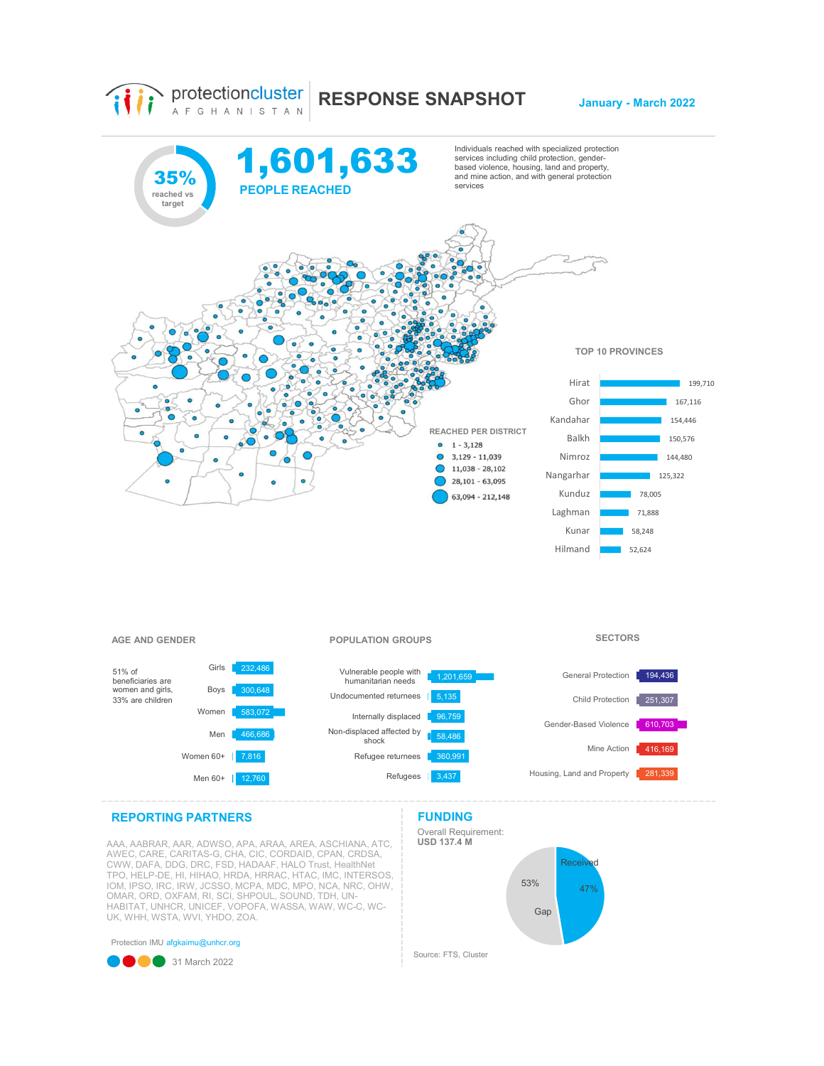

## AAA, AABRAR, AAR, ADWSO, APA, ARAA, AREA, ASCHIANA, ATC, \_\_\_\_ **USD 137.4 M**<br>AWEC, CARE, CARITAS-G, CHA, CIC, CORDAID, CPAN, CRDSA, CWW, DAFA, DDG, DRC, FSD, HADAAF, HALO Trust, HealthNet<br>TPO, HELP-DE, HI, HIHAO, HRDA, HRRAC, HTAC, IMC, INTERSOS,<br>IOM, IPSO, IRC, IRW, JCSSO, MCPA, MDC, MPO, NCA, NRC, OHW,<br>OMAR, ORD, OXFAM, RI, SCI, SHPOUL, SOUND, TDH, U HABITAT, UNHCR, UNICEF, VOPOFA, WASSA, WAW, WC-C, WC-UK, WHH, WSTA, WVI, YHDO, ZOA.